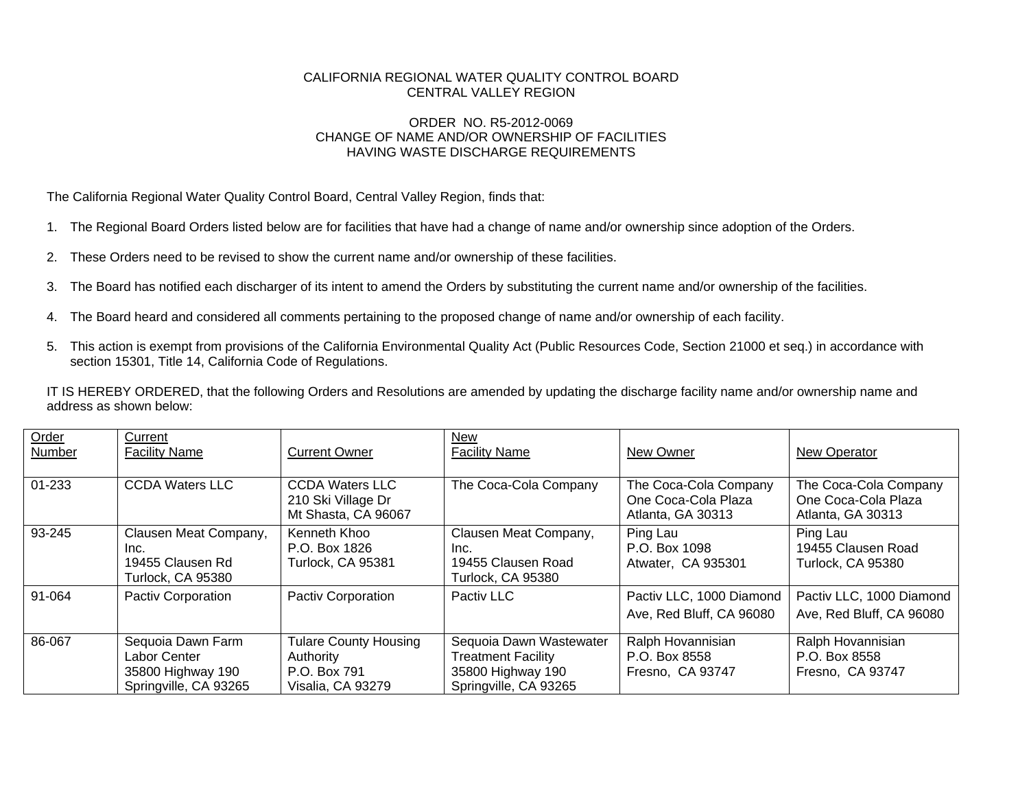## CALIFORNIA REGIONAL WATER QUALITY CONTROL BOARD CENTRAL VALLEY REGION

## ORDER NO. R5-2012-0069 CHANGE OF NAME AND/OR OWNERSHIP OF FACILITIES HAVING WASTE DISCHARGE REQUIREMENTS

The California Regional Water Quality Control Board, Central Valley Region, finds that:

- 1. The Regional Board Orders listed below are for facilities that have had a change of name and/or ownership since adoption of the Orders.
- 2. These Orders need to be revised to show the current name and/or ownership of these facilities.
- 3. The Board has notified each discharger of its intent to amend the Orders by substituting the current name and/or ownership of the facilities.
- 4. The Board heard and considered all comments pertaining to the proposed change of name and/or ownership of each facility.
- 5. This action is exempt from provisions of the California Environmental Quality Act (Public Resources Code, Section 21000 et seq.) in accordance with section 15301, Title 14, California Code of Regulations.

IT IS HEREBY ORDERED, that the following Orders and Resolutions are amended by updating the discharge facility name and/or ownership name and address as shown below:

| Order<br><b>Number</b> | Current<br><b>Facility Name</b>                                                 | <b>Current Owner</b>                                                           | <b>New</b><br><b>Facility Name</b>                                                                 | New Owner                                                         | New Operator                                                      |
|------------------------|---------------------------------------------------------------------------------|--------------------------------------------------------------------------------|----------------------------------------------------------------------------------------------------|-------------------------------------------------------------------|-------------------------------------------------------------------|
| 01-233                 | <b>CCDA Waters LLC</b>                                                          | <b>CCDA Waters LLC</b><br>210 Ski Village Dr<br>Mt Shasta, CA 96067            | The Coca-Cola Company                                                                              | The Coca-Cola Company<br>One Coca-Cola Plaza<br>Atlanta, GA 30313 | The Coca-Cola Company<br>One Coca-Cola Plaza<br>Atlanta, GA 30313 |
| 93-245                 | Clausen Meat Company,<br>Inc.<br>19455 Clausen Rd<br>Turlock, CA 95380          | Kenneth Khoo<br>P.O. Box 1826<br>Turlock, CA 95381                             | Clausen Meat Company,<br>Inc.<br>19455 Clausen Road<br>Turlock, CA 95380                           | Ping Lau<br>P.O. Box 1098<br>Atwater, CA 935301                   | Ping Lau<br>19455 Clausen Road<br>Turlock, CA 95380               |
| 91-064                 | <b>Pactiv Corporation</b>                                                       | <b>Pactiv Corporation</b>                                                      | Pactiv LLC                                                                                         | Pactiv LLC, 1000 Diamond<br>Ave, Red Bluff, CA 96080              | Pactiv LLC, 1000 Diamond<br>Ave, Red Bluff, CA 96080              |
| 86-067                 | Sequoia Dawn Farm<br>Labor Center<br>35800 Highway 190<br>Springville, CA 93265 | <b>Tulare County Housing</b><br>Authority<br>P.O. Box 791<br>Visalia, CA 93279 | Sequoia Dawn Wastewater<br><b>Treatment Facility</b><br>35800 Highway 190<br>Springville, CA 93265 | Ralph Hovannisian<br>P.O. Box 8558<br>Fresno, CA 93747            | Ralph Hovannisian<br>P.O. Box 8558<br>Fresno, CA 93747            |